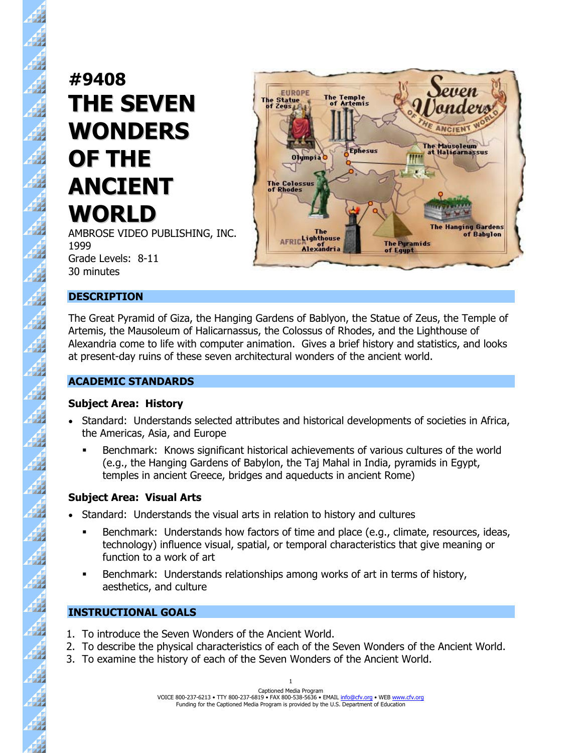# **#9408 THE SEVEN WONDERS OF THE ANCIENT WORLD**

绑

44

 $\frac{4}{3}$ 

 $\overline{A}$ 

44

Æ

47

44

A

47

 $\frac{4}{3}$ 

44

 $\overline{\mathcal{A}}$ 

44

4

 $\overline{\mathcal{A}}$ 

47

Á

4

41

 $\mathbf{A}$ 

44

47

 $\frac{1}{2}$ 

4

AMBROSE VIDEO PUBLISHING, INC. 1999 Grade Levels: 8-11 30 minutes



#### **DESCRIPTION**

The Great Pyramid of Giza, the Hanging Gardens of Bablyon, the Statue of Zeus, the Temple of Artemis, the Mausoleum of Halicarnassus, the Colossus of Rhodes, and the Lighthouse of Alexandria come to life with computer animation. Gives a brief history and statistics, and looks at present-day ruins of these seven architectural wonders of the ancient world.

#### **ACADEMIC STANDARDS**

#### **Subject Area: History**

- Standard: Understands selected attributes and historical developments of societies in Africa, the Americas, Asia, and Europe
	- Benchmark: Knows significant historical achievements of various cultures of the world (e.g., the Hanging Gardens of Babylon, the Taj Mahal in India, pyramids in Egypt, temples in ancient Greece, bridges and aqueducts in ancient Rome)

## **Subject Area: Visual Arts**

- Standard: Understands the visual arts in relation to history and cultures
	- Benchmark: Understands how factors of time and place (e.g., climate, resources, ideas, technology) influence visual, spatial, or temporal characteristics that give meaning or function to a work of art
	- Benchmark: Understands relationships among works of art in terms of history, aesthetics, and culture

## **INSTRUCTIONAL GOALS**

- 1. To introduce the Seven Wonders of the Ancient World.
- 2. To describe the physical characteristics of each of the Seven Wonders of the Ancient World.
- 3. To examine the history of each of the Seven Wonders of the Ancient World.

Captioned Media Program VOICE 800-237-6213 • TTY 800-237-6819 • FAX 800-538-5636 • EMAIL info@cfv.org • WEB www.cfv.org Funding for the Captioned Media Program is provided by the U.S. Department of Education 1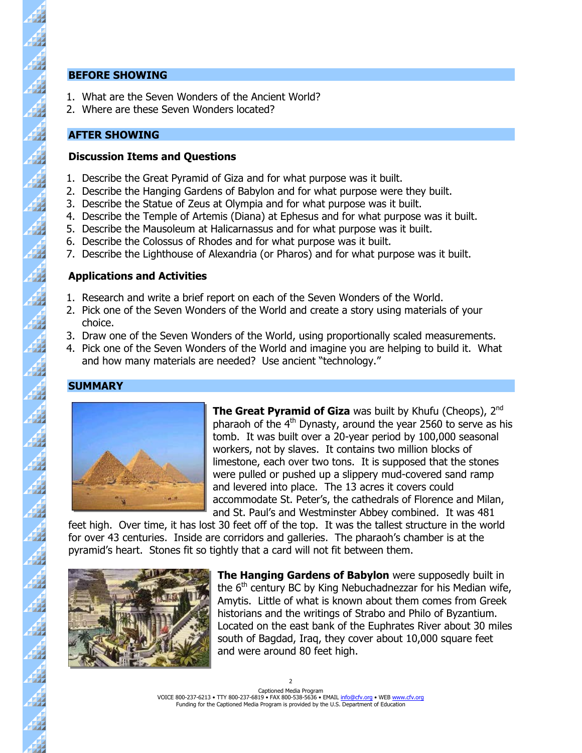#### **BEFORE SHOWING**

44

 $\overline{A}$ 

Á

 $\overline{\mathbf{A}}$ 

4

44

47

d

47

4

 $\overline{\mathbf{A}}$ 

 $\overline{A}$ 

44

44

- 1. What are the Seven Wonders of the Ancient World?
- 2. Where are these Seven Wonders located?

#### **AFTER SHOWING**

#### **Discussion Items and Questions**

- 1. Describe the Great Pyramid of Giza and for what purpose was it built.
- 2. Describe the Hanging Gardens of Babylon and for what purpose were they built.
- 3. Describe the Statue of Zeus at Olympia and for what purpose was it built.
- 4. Describe the Temple of Artemis (Diana) at Ephesus and for what purpose was it built.
- 5. Describe the Mausoleum at Halicarnassus and for what purpose was it built.
- 6. Describe the Colossus of Rhodes and for what purpose was it built.
- 7. Describe the Lighthouse of Alexandria (or Pharos) and for what purpose was it built.

#### **Applications and Activities**

- 1. Research and write a brief report on each of the Seven Wonders of the World.
- 2. Pick one of the Seven Wonders of the World and create a story using materials of your choice.
- 3. Draw one of the Seven Wonders of the World, using proportionally scaled measurements.
- 4. Pick one of the Seven Wonders of the World and imagine you are helping to build it. What and how many materials are needed? Use ancient "technology."

## **SUMMARY**



**The Great Pyramid of Giza** was built by Khufu (Cheops), 2<sup>nd</sup> pharaoh of the  $4<sup>th</sup>$  Dynasty, around the year 2560 to serve as his tomb. It was built over a 20-year period by 100,000 seasonal workers, not by slaves. It contains two million blocks of limestone, each over two tons. It is supposed that the stones were pulled or pushed up a slippery mud-covered sand ramp and levered into place. The 13 acres it covers could accommodate St. Peter's, the cathedrals of Florence and Milan, and St. Paul's and Westminster Abbey combined. It was 481

feet high. Over time, it has lost 30 feet off of the top. It was the tallest structure in the world for over 43 centuries. Inside are corridors and galleries. The pharaoh's chamber is at the pyramid's heart. Stones fit so tightly that a card will not fit between them.



**The Hanging Gardens of Babylon** were supposedly built in the  $6<sup>th</sup>$  century BC by King Nebuchadnezzar for his Median wife, Amytis. Little of what is known about them comes from Greek historians and the writings of Strabo and Philo of Byzantium. Located on the east bank of the Euphrates River about 30 miles south of Bagdad, Iraq, they cover about 10,000 square feet and were around 80 feet high.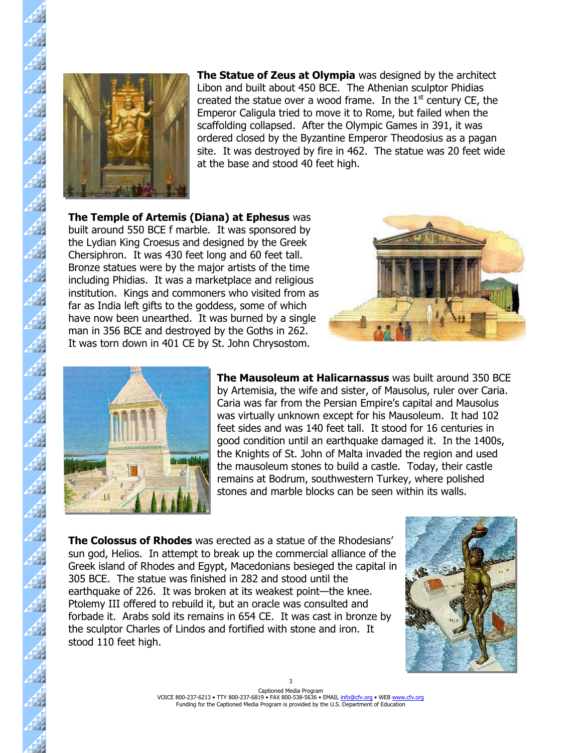

**The Statue of Zeus at Olympia** was designed by the architect Libon and built about 450 BCE. The Athenian sculptor Phidias created the statue over a wood frame. In the  $1<sup>st</sup>$  century CE, the Emperor Caligula tried to move it to Rome, but failed when the scaffolding collapsed. After the Olympic Games in 391, it was ordered closed by the Byzantine Emperor Theodosius as a pagan site. It was destroyed by fire in 462. The statue was 20 feet wide at the base and stood 40 feet high.

**The Temple of Artemis (Diana) at Ephesus** was built around 550 BCE f marble. It was sponsored by the Lydian King Croesus and designed by the Greek Chersiphron. It was 430 feet long and 60 feet tall. Bronze statues were by the major artists of the time including Phidias. It was a marketplace and religious institution. Kings and commoners who visited from as far as India left gifts to the goddess, some of which have now been unearthed. It was burned by a single man in 356 BCE and destroyed by the Goths in 262. It was torn down in 401 CE by St. John Chrysostom.





**The Mausoleum at Halicarnassus** was built around 350 BCE by Artemisia, the wife and sister, of Mausolus, ruler over Caria. Caria was far from the Persian Empire's capital and Mausolus was virtually unknown except for his Mausoleum. It had 102 feet sides and was 140 feet tall. It stood for 16 centuries in good condition until an earthquake damaged it. In the 1400s, the Knights of St. John of Malta invaded the region and used the mausoleum stones to build a castle. Today, their castle remains at Bodrum, southwestern Turkey, where polished stones and marble blocks can be seen within its walls.

**The Colossus of Rhodes** was erected as a statue of the Rhodesians' sun god, Helios. In attempt to break up the commercial alliance of the Greek island of Rhodes and Egypt, Macedonians besieged the capital in 305 BCE. The statue was finished in 282 and stood until the earthquake of 226. It was broken at its weakest point—the knee. Ptolemy III offered to rebuild it, but an oracle was consulted and forbade it. Arabs sold its remains in 654 CE. It was cast in bronze by the sculptor Charles of Lindos and fortified with stone and iron. It stood 110 feet high.